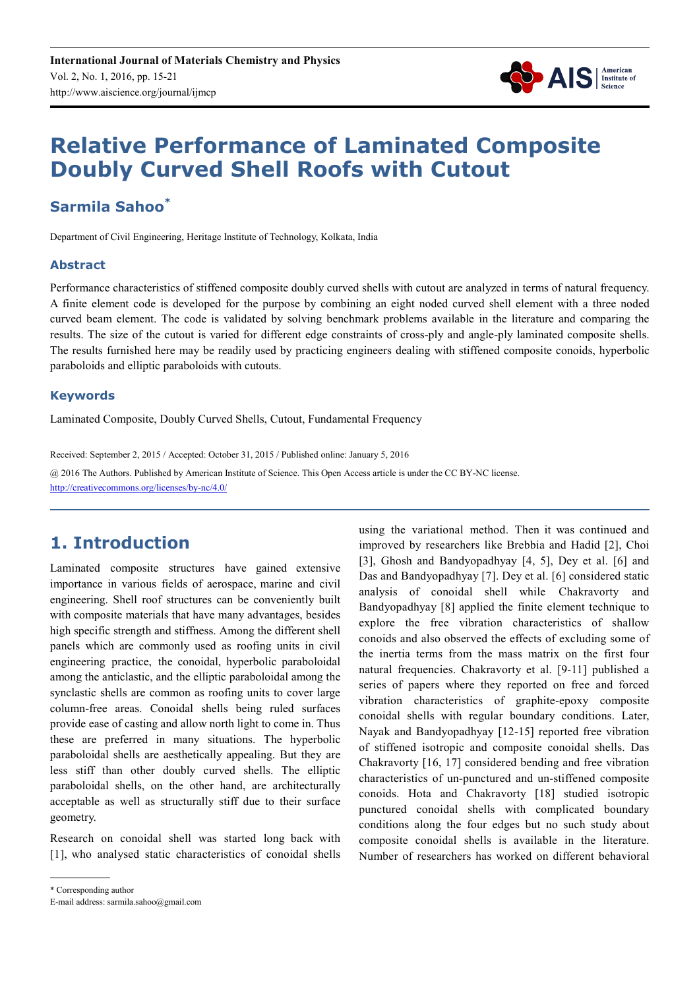

# **Relative Performance of Laminated Composite Doubly Curved Shell Roofs with Cutout**

### **Sarmila Sahoo\***

Department of Civil Engineering, Heritage Institute of Technology, Kolkata, India

#### **Abstract**

Performance characteristics of stiffened composite doubly curved shells with cutout are analyzed in terms of natural frequency. A finite element code is developed for the purpose by combining an eight noded curved shell element with a three noded curved beam element. The code is validated by solving benchmark problems available in the literature and comparing the results. The size of the cutout is varied for different edge constraints of cross-ply and angle-ply laminated composite shells. The results furnished here may be readily used by practicing engineers dealing with stiffened composite conoids, hyperbolic paraboloids and elliptic paraboloids with cutouts.

#### **Keywords**

Laminated Composite, Doubly Curved Shells, Cutout, Fundamental Frequency

Received: September 2, 2015 / Accepted: October 31, 2015 / Published online: January 5, 2016

@ 2016 The Authors. Published by American Institute of Science. This Open Access article is under the CC BY-NC license. http://creativecommons.org/licenses/by-nc/4.0/

## **1. Introduction**

Laminated composite structures have gained extensive importance in various fields of aerospace, marine and civil engineering. Shell roof structures can be conveniently built with composite materials that have many advantages, besides high specific strength and stiffness. Among the different shell panels which are commonly used as roofing units in civil engineering practice, the conoidal, hyperbolic paraboloidal among the anticlastic, and the elliptic paraboloidal among the synclastic shells are common as roofing units to cover large column-free areas. Conoidal shells being ruled surfaces provide ease of casting and allow north light to come in. Thus these are preferred in many situations. The hyperbolic paraboloidal shells are aesthetically appealing. But they are less stiff than other doubly curved shells. The elliptic paraboloidal shells, on the other hand, are architecturally acceptable as well as structurally stiff due to their surface geometry.

Research on conoidal shell was started long back with [1], who analysed static characteristics of conoidal shells

using the variational method. Then it was continued and improved by researchers like Brebbia and Hadid [2], Choi [3], Ghosh and Bandyopadhyay [4, 5], Dey et al. [6] and Das and Bandyopadhyay [7]. Dey et al. [6] considered static analysis of conoidal shell while Chakravorty and Bandyopadhyay [8] applied the finite element technique to explore the free vibration characteristics of shallow conoids and also observed the effects of excluding some of the inertia terms from the mass matrix on the first four natural frequencies. Chakravorty et al. [9-11] published a series of papers where they reported on free and forced vibration characteristics of graphite-epoxy composite conoidal shells with regular boundary conditions. Later, Nayak and Bandyopadhyay [12-15] reported free vibration of stiffened isotropic and composite conoidal shells. Das Chakravorty [16, 17] considered bending and free vibration characteristics of un-punctured and un-stiffened composite conoids. Hota and Chakravorty [18] studied isotropic punctured conoidal shells with complicated boundary conditions along the four edges but no such study about composite conoidal shells is available in the literature. Number of researchers has worked on different behavioral

<sup>\*</sup> Corresponding author

E-mail address: sarmila.sahoo@gmail.com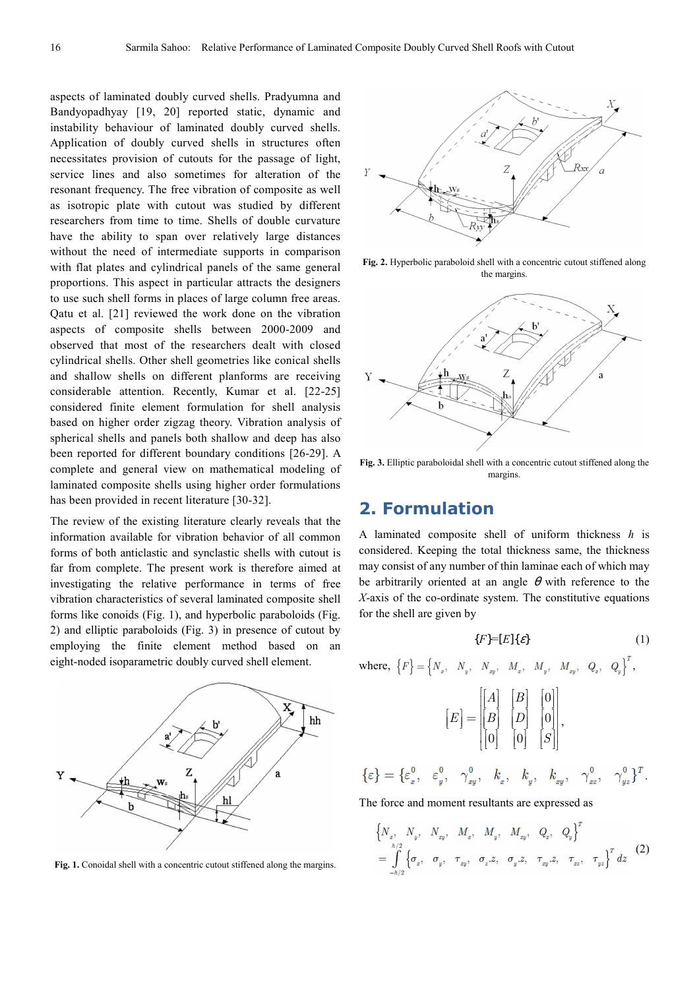aspects of laminated doubly curved shells. Pradyumna and Bandyopadhyay [19, 20] reported static, dynamic and instability behaviour of laminated doubly curved shells. Application of doubly curved shells in structures often necessitates provision of cutouts for the passage of light, service lines and also sometimes for alteration of the resonant frequency. The free vibration of composite as well as isotropic plate with cutout was studied by different researchers from time to time. Shells of double curvature have the ability to span over relatively large distances without the need of intermediate supports in comparison with flat plates and cylindrical panels of the same general proportions. This aspect in particular attracts the designers to use such shell forms in places of large column free areas. Qatu et al. [21] reviewed the work done on the vibration aspects of composite shells between 2000-2009 and observed that most of the researchers dealt with closed cylindrical shells. Other shell geometries like conical shells and shallow shells on different planforms are receiving considerable attention. Recently, Kumar et al. [22-25] considered finite element formulation for shell analysis based on higher order zigzag theory. Vibration analysis of spherical shells and panels both shallow and deep has also been reported for different boundary conditions [26-29]. A complete and general view on mathematical modeling of laminated composite shells using higher order formulations has been provided in recent literature [30-32].

The review of the existing literature clearly reveals that the information available for vibration behavior of all common forms of both anticlastic and synclastic shells with cutout is far from complete. The present work is therefore aimed at investigating the relative performance in terms of free vibration characteristics of several laminated composite shell forms like conoids (Fig. 1), and hyperbolic paraboloids (Fig. 2) and elliptic paraboloids (Fig. 3) in presence of cutout by employing the finite element method based on an eight-noded isoparametric doubly curved shell element.



Fig. 1. Conoidal shell with a concentric cutout stiffened along the margins.



**Fig. 2.** Hyperbolic paraboloid shell with a concentric cutout stiffened along the margins.



**Fig. 3.** Elliptic paraboloidal shell with a concentric cutout stiffened along the margins.

### **2. Formulation**

A laminated composite shell of uniform thickness *h* is considered. Keeping the total thickness same, the thickness may consist of any number of thin laminae each of which may be arbitrarily oriented at an angle  $\theta$  with reference to the *X*-axis of the co-ordinate system. The constitutive equations for the shell are given by

$$
\{F\}=[E]\{\varepsilon\}\tag{1}
$$

 $\text{where, }\left\{F\right\} = \begin{cases} N_{\scriptscriptstyle x}, & N_{\scriptscriptstyle y}, & N_{\scriptscriptstyle xy}, & M_{\scriptscriptstyle x}, & M_{\scriptscriptstyle y}, & M_{\scriptscriptstyle xy}, & Q_{\scriptscriptstyle x}, & Q_{\scriptscriptstyle y} \end{cases}^T,$  $\theta$  $\theta$  $|0|$   $|0|$  $\begin{bmatrix} A & B & 0 \end{bmatrix}$  $[E] = |[B] [D] [0],$  $\begin{bmatrix} 0 & 0 & [s] \end{bmatrix}$  $A \mid B \mid$  $E = ||B|| ||D||$ *S* ,  $\{\varepsilon\} = \{\varepsilon_x^0, \varepsilon_y^0, \gamma_{xy}^0, k_x, k_y, k_{yy}, \gamma_{xz}^0, \gamma_{yz}^0\}^T.$ 

The force and moment resultants are expressed as

$$
\begin{aligned}\n&\left\{N_x, N_y, N_{xy}, M_x, M_y, M_{xy}, Q_z, Q_y\right\}^T \\
&= \int_{-h/2}^{h/2} \left\{\sigma_x, \sigma_y, \tau_{xy}, \sigma_z z, \sigma_y z, \tau_{xy}, Z, \tau_{xz}, \tau_{yz}\right\}^T dz\n\end{aligned}
$$
(2)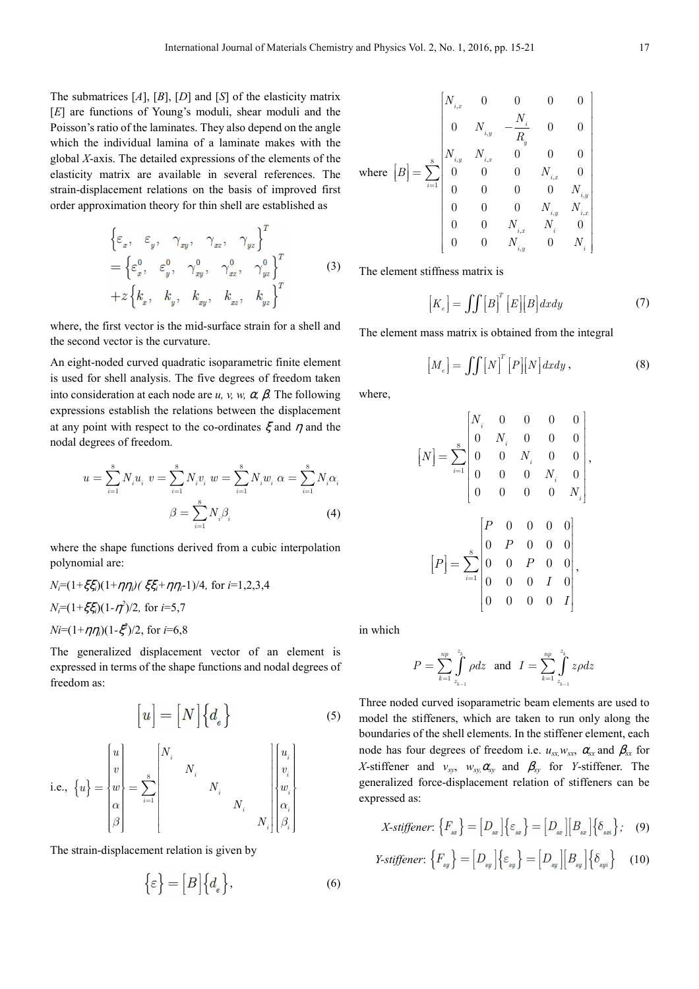The submatrices [*A*], [*B*], [*D*] and [*S*] of the elasticity matrix [*E*] are functions of Young's moduli, shear moduli and the Poisson's ratio of the laminates. They also depend on the angle which the individual lamina of a laminate makes with the global *X*-axis. The detailed expressions of the elements of the elasticity matrix are available in several references. The strain-displacement relations on the basis of improved first order approximation theory for thin shell are established as

$$
\begin{aligned}\n\left\{\varepsilon_x, \varepsilon_y, \gamma_{xy}, \gamma_{xz}, \gamma_{yz}\right\}^T \\
= \left\{\varepsilon_x^0, \varepsilon_y^0, \gamma_{xy}^0, \gamma_{xz}^0, \gamma_{yz}^0\right\}^T \\
+ z \left\{k_x, k_y, k_{xy}, k_{xz}, k_{yz}\right\}^T\n\end{aligned} \tag{3}
$$

where, the first vector is the mid-surface strain for a shell and the second vector is the curvature.

An eight-noded curved quadratic isoparametric finite element is used for shell analysis. The five degrees of freedom taken into consideration at each node are  $u$ ,  $v$ ,  $w$ ,  $\alpha$ ,  $\beta$ . The following expressions establish the relations between the displacement at any point with respect to the co-ordinates  $\xi$  and  $\eta$  and the nodal degrees of freedom.

$$
u = \sum_{i=1}^{8} N_i u_i \quad v = \sum_{i=1}^{8} N_i v_i \quad w = \sum_{i=1}^{8} N_i w_i \quad \alpha = \sum_{i=1}^{8} N_i \alpha_i
$$
\n
$$
\beta = \sum_{i=1}^{8} N_i \beta_i \tag{4}
$$

where the shape functions derived from a cubic interpolation polynomial are:

$$
N_i = (1 + \xi \xi_i)(1 + \eta \eta_i)(\xi \xi_i + \eta \eta_i - 1)/4
$$
, for  $i = 1, 2, 3, 4$   

$$
N_i = (1 + \xi \xi_i)(1 - \eta^2)/2
$$
, for  $i = 5, 7$   

$$
Ni = (1 + \eta \eta_i)(1 - \xi^2)/2
$$
, for  $i = 6, 8$ 

The generalized displacement vector of an element is expressed in terms of the shape functions and nodal degrees of freedom as:

$$
\begin{bmatrix} u \end{bmatrix} = \begin{bmatrix} N \end{bmatrix} \begin{Bmatrix} d_e \end{Bmatrix}
$$
\n
$$
\text{i.e., } \{u\} = \begin{bmatrix} u \\ v \\ w \\ \alpha \\ \beta \end{bmatrix} = \sum_{i=1}^{8} \begin{bmatrix} N_i & & & \\ & N_i & & \\ & & N_i & \\ & & & N_i & \\ & & & N_i & \\ & & & & N_i \end{bmatrix} \begin{bmatrix} u_i \\ v_i \\ v_i \\ u_i \\ \beta_i \end{bmatrix}
$$

The strain-displacement relation is given by

$$
\{\varepsilon\} = [B] \{d_e\},\tag{6}
$$

$$
\text{where } [B] = \sum_{i=1}^{8} \begin{bmatrix} N_{i,x} & 0 & 0 & 0 & 0 \\ 0 & N_{i,y} & -\frac{N_i}{R_y} & 0 & 0 \\ N_{i,y} & N_{i,x} & 0 & 0 & 0 \\ 0 & 0 & 0 & N_{i,x} & 0 \\ 0 & 0 & 0 & 0 & N_{i,y} \\ 0 & 0 & 0 & N_{i,y} & N_{i,x} \\ 0 & 0 & N_{i,x} & N_i & 0 \\ 0 & 0 & N_{i,y} & 0 & N_i \end{bmatrix}
$$

The element stiffness matrix is

$$
\left[K_e\right] = \iint \left[B\right]^T \left[E\right] \left[B\right] dx dy \tag{7}
$$

The element mass matrix is obtained from the integral

$$
[M_e] = \iiint [N]^T [P][N] dx dy,
$$
 (8)

where,

$$
\begin{aligned} \left[N\right] = \sum_{i=1}^{8} \begin{bmatrix} N_i & 0 & 0 & 0 & 0 \\ 0 & N_i & 0 & 0 & 0 \\ 0 & 0 & N_i & 0 & 0 \\ 0 & 0 & 0 & N_i & 0 \\ 0 & 0 & 0 & 0 & N_i \end{bmatrix}, \\ \left[P\right] = \sum_{i=1}^{8} \begin{bmatrix} P & 0 & 0 & 0 & 0 \\ 0 & P & 0 & 0 & 0 \\ 0 & 0 & P & 0 & 0 \\ 0 & 0 & 0 & I & 0 \\ 0 & 0 & 0 & 0 & I \end{bmatrix}, \end{aligned}
$$

in which

$$
P = \sum_{k=1}^{np} \int_{z_{k-1}}^{z_k} \rho dz \text{ and } I = \sum_{k=1}^{np} \int_{z_{k-1}}^{z_k} z \rho dz
$$

Three noded curved isoparametric beam elements are used to model the stiffeners, which are taken to run only along the boundaries of the shell elements. In the stiffener element, each node has four degrees of freedom i.e.  $u_{sx}w_{sx}$ ,  $\alpha_{sx}$  and  $\beta_{sx}$  for *X*-stiffener and  $v_{sv}$ ,  $w_{sv}$ ,  $\alpha_{sv}$  and  $\beta_{sv}$  for *Y*-stiffener. The generalized force-displacement relation of stiffeners can be expressed as:

X-stiffener: 
$$
\{F_{sx}\} = [D_{sx}]\{\varepsilon_{sx}\} = [D_{sx}][B_{sx}]\{\delta_{sx}\};
$$
 (9)

$$
\text{Y-stiffener: } \left\{ F_{\text{sy}} \right\} = \left[ D_{\text{sy}} \right] \left\{ \varepsilon_{\text{sy}} \right\} = \left[ D_{\text{sy}} \right] \left[ B_{\text{sy}} \right] \left\{ \delta_{\text{sy}} \right\} \quad (10)
$$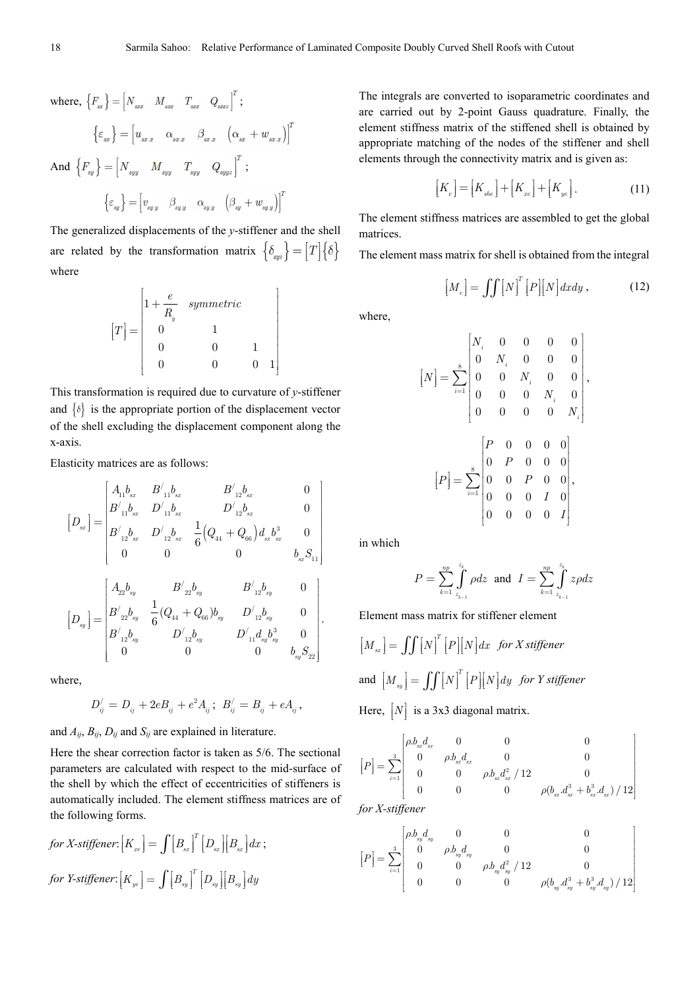$$
\begin{aligned} \text{where, } \left\{ F_{\text{sr}} \right\} &= \left[ N_{\text{src}} \quad M_{\text{src}} \quad T_{\text{src}} \quad Q_{\text{srcz}} \right]^T; \\ \left\{ \boldsymbol{\varepsilon}_{\text{sr}} \right\} &= \left[ u_{\text{sr.x}} \quad \boldsymbol{\alpha}_{\text{sr.x}} \quad \boldsymbol{\beta}_{\text{sr.x}} \quad \left( \boldsymbol{\alpha}_{\text{sr}} + w_{\text{sr.x}} \right) \right]^T \\ \text{And } \left\{ F_{\text{sy}} \right\} &= \left[ N_{\text{syy}} \quad M_{\text{syy}} \quad T_{\text{syy}} \quad Q_{\text{syyz}} \right]^T; \\ \left\{ \boldsymbol{\varepsilon}_{\text{sy}} \right\} &= \left[ v_{\text{sy.y}} \quad \boldsymbol{\beta}_{\text{syy}} \quad \boldsymbol{\alpha}_{\text{sy.y}} \quad \left( \boldsymbol{\beta}_{\text{sy}} + w_{\text{syy}} \right) \right]^T \end{aligned}
$$

The generalized displacements of the *y*-stiffener and the shell are related by the transformation matrix  $\{\delta_{\omega i}\} = [T]\{\delta\}$ where

$$
[T] = \begin{bmatrix} 1 + \frac{e}{R_y} & symmetric & & \\ 0 & 1 & & \\ 0 & 0 & 1 & \\ 0 & 0 & 0 & 1 \\ 0 & 0 & 0 & 1 \end{bmatrix}
$$

This transformation is required due to curvature of *y*-stiffener and  $\{\delta\}$  is the appropriate portion of the displacement vector of the shell excluding the displacement component along the x-axis.

Elasticity matrices are as follows:

$$
\begin{aligned} \left[D_{_{\mathrm{sr}}}\right] = &\begin{bmatrix} A_{11}b_{_{\mathrm{sr}}} & B'_{11}b_{_{\mathrm{sr}}} & B'_{12}b_{_{\mathrm{sr}}} & 0 \\ B'_{11}b_{_{\mathrm{sr}}} & D'_{11}b_{_{\mathrm{sr}}} & D'_{12}b_{_{\mathrm{sr}}} & 0 \\ B'_{12}b_{_{\mathrm{sr}}} & D'_{12}b_{_{\mathrm{sr}}} & \frac{1}{6}\big(Q_{44}+Q_{66}\big)d_{_{\mathrm{sr}}b_{_{\mathrm{sr}}}^3} & 0 \\ 0 & 0 & 0 & b_{_{\mathrm{sr}}S_{11}} \end{bmatrix} \\ \left[D_{_{\mathrm{sy}}}\right] = &\begin{bmatrix} A_{22}b_{_{\mathrm{sy}}} & B'_{22}b_{_{\mathrm{sy}}} & B'_{12}b_{_{\mathrm{sy}}} & 0 \\ B'_{22}b_{_{\mathrm{sy}}} & \frac{1}{6}(Q_{44}+Q_{66})b_{_{\mathrm{sy}}} & D'_{12}b_{_{\mathrm{sy}}} & 0 \\ B'_{12}b_{_{\mathrm{sy}}} & D'_{12}b_{_{\mathrm{sy}}} & D'_{11}d_{_{\mathrm{sy}}b_{_{\mathrm{sy}}}^3} & 0 \\ 0 & 0 & 0 & b_{_{\mathrm{sy}}S_{22}} \end{bmatrix} . \end{aligned}
$$

where,

$$
D'_{ij} = D_{ij} + 2eB_{ij} + e^2 A_{ij}; \ B'_{ij} = B_{ij} + eA_{ij},
$$

and  $A_{ij}$ ,  $B_{ij}$ ,  $D_{ij}$  and  $S_{ij}$  are explained in literature.

Here the shear correction factor is taken as 5/6. The sectional parameters are calculated with respect to the mid-surface of the shell by which the effect of eccentricities of stiffeners is automatically included. The element stiffness matrices are of the following forms.

for X-stiffener: 
$$
[K_{x_e}] = \int [B_{sx}]^T [D_{sx}] [B_{sx}] dx
$$
;  
for Y-stiffener:  $[K_{ye}] = \int [B_{sy}]^T [D_{sy}] [B_{sy}] dy$ 

The integrals are converted to isoparametric coordinates and are carried out by 2-point Gauss quadrature. Finally, the element stiffness matrix of the stiffened shell is obtained by appropriate matching of the nodes of the stiffener and shell elements through the connectivity matrix and is given as:

$$
\left[K_e\right] = \left[K_{she}\right] + \left[K_{xe}\right] + \left[K_{ye}\right].\tag{11}
$$

The element stiffness matrices are assembled to get the global matrices.

The element mass matrix for shell is obtained from the integral

$$
[M_e] = \iiint [N]^T [P][N] dx dy , \qquad (12)
$$

where,

$$
\begin{aligned} \left[N\right] & = \sum_{i=1}^{8} \begin{bmatrix} N_i & 0 & 0 & 0 & 0 \\ 0 & N_i & 0 & 0 & 0 \\ 0 & 0 & N_i & 0 & 0 \\ 0 & 0 & 0 & N_i & 0 \\ 0 & 0 & 0 & 0 & N_i \end{bmatrix}, \\ \left[P\right] & = \sum_{i=1}^{8} \begin{bmatrix} P & 0 & 0 & 0 & 0 \\ 0 & P & 0 & 0 & 0 \\ 0 & 0 & P & 0 & 0 \\ 0 & 0 & 0 & I & 0 \\ 0 & 0 & 0 & 0 & I \end{bmatrix}, \end{aligned}
$$

in which

$$
P = \sum_{k=1}^{np} \int_{z_{k-1}}^{z_k} \rho dz \text{ and } I = \sum_{k=1}^{np} \int_{z_{k-1}}^{z_k} z \rho dz
$$

Element mass matrix for stiffener element

$$
[M_{ss}] = \iint [N]^T [P][N] dx \text{ for } X \text{ stiffener}
$$
  
and 
$$
[M_{ss}] = \iint [N]^T [P][N] dy \text{ for } Y \text{ stiffener}
$$
  
Here, 
$$
[N] \text{ is a } 3 \times 3 \text{ diagonal matrix.}
$$

 $\begin{bmatrix} a & b & d \\ 0 & b & d \end{bmatrix}$  0 0

$$
[P] = \sum_{i=1}^{3} \begin{bmatrix} \rho.b_{xd} & 0 & 0 & 0 \\ 0 & \rho.b_{xd} & 0 & 0 \\ 0 & 0 & \rho.b_{xd}a_{x}^{2} & 12 & 0 \\ 0 & 0 & 0 & \rho(b_{x}d_{x}^{3} + b_{x}^{3}d_{x})/12 \end{bmatrix}
$$
  
for X-stiffener

*for X-stiffener*

$$
\label{eq:3.12} \left[P\right]=\sum_{i=1}^3\begin{bmatrix} \rho.b_{\underset{y}{y}}d_{\underset{y}{y}}&0&0&0\\ 0&\rho.b_{\underset{y}{y}}d_{\underset{y}{y}}&0&0\\ 0&0&\rho.b_{\underset{y}{y}}d_{\underset{y}{y}}^2\,/\,12&0\\ 0&0&0&\rho(b_{\underset{y}{y}}d_{\underset{y}{y}}^3+b_{\underset{y}{y}}^3d_{\underset{y}{y}})\,/\,12 \end{bmatrix}
$$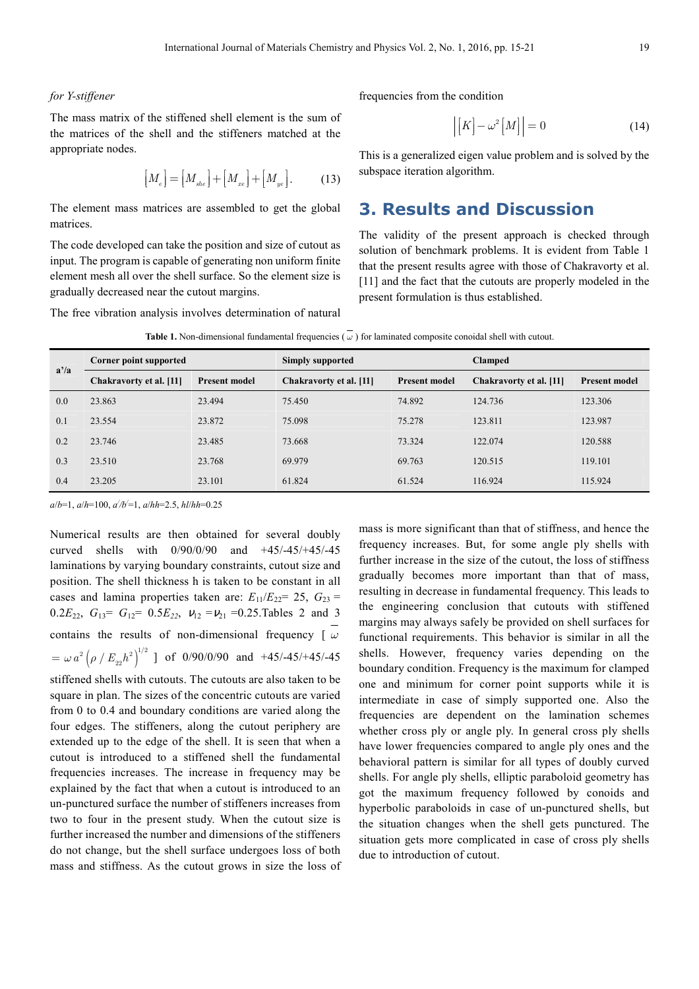#### *for Y-stiffener*

The mass matrix of the stiffened shell element is the sum of the matrices of the shell and the stiffeners matched at the appropriate nodes.

$$
\left[M_e\right] = \left[M_{_{she}}\right] + \left[M_{_{xe}}\right] + \left[M_{_{ye}}\right].\tag{13}
$$

The element mass matrices are assembled to get the global matrices.

The code developed can take the position and size of cutout as input. The program is capable of generating non uniform finite element mesh all over the shell surface. So the element size is gradually decreased near the cutout margins.

The free vibration analysis involves determination of natural

frequencies from the condition

$$
\left| \left[ K \right] - \omega^2 \left[ M \right] \right| = 0 \tag{14}
$$

This is a generalized eigen value problem and is solved by the subspace iteration algorithm.

#### **3. Results and Discussion**

The validity of the present approach is checked through solution of benchmark problems. It is evident from Table 1 that the present results agree with those of Chakravorty et al. [11] and the fact that the cutouts are properly modeled in the present formulation is thus established.

|      | Corner point supported  |                      | <b>Simply supported</b> |                      | <b>Clamped</b>          |                      |
|------|-------------------------|----------------------|-------------------------|----------------------|-------------------------|----------------------|
| a'/a | Chakravorty et al. [11] | <b>Present model</b> | Chakravorty et al. [11] | <b>Present model</b> | Chakravorty et al. [11] | <b>Present model</b> |
| 0.0  | 23.863                  | 23.494               | 75.450                  | 74.892               | 124.736                 | 123.306              |
| 0.1  | 23.554                  | 23.872               | 75.098                  | 75.278               | 123.811                 | 123.987              |
| 0.2  | 23.746                  | 23.485               | 73.668                  | 73.324               | 122,074                 | 120.588              |
| 0.3  | 23.510                  | 23.768               | 69.979                  | 69.763               | 120.515                 | 119.101              |
| 0.4  | 23.205                  | 23.101               | 61.824                  | 61.524               | 116.924                 | 115.924              |

**Table 1.** Non-dimensional fundamental frequencies ( $\omega$ ) for laminated composite conoidal shell with cutout.

*a*/*b*=1, *a*/*h*=100, *a / /b/* =1, *a*/*hh*=2.5, *hl*/*hh*=0.25

Numerical results are then obtained for several doubly curved shells with 0/90/0/90 and +45/-45/+45/-45 laminations by varying boundary constraints, cutout size and position. The shell thickness h is taken to be constant in all cases and lamina properties taken are:  $E_{11}/E_{22} = 25$ ,  $G_{23} =$ 0.2 $E_{22}$ ,  $G_{13} = G_{12} = 0.5E_{22}$ ,  $v_{12} = v_{21} = 0.25$ . Tables 2 and 3 contains the results of non-dimensional frequency [ *ω*  $=\omega a^2 \left(\rho / E_{22} h^2\right)^{1/2}$  ] of 0/90/0/90 and +45/-45/+45/-45 stiffened shells with cutouts. The cutouts are also taken to be

square in plan. The sizes of the concentric cutouts are varied from 0 to 0.4 and boundary conditions are varied along the four edges. The stiffeners, along the cutout periphery are extended up to the edge of the shell. It is seen that when a cutout is introduced to a stiffened shell the fundamental frequencies increases. The increase in frequency may be explained by the fact that when a cutout is introduced to an un-punctured surface the number of stiffeners increases from two to four in the present study. When the cutout size is further increased the number and dimensions of the stiffeners do not change, but the shell surface undergoes loss of both mass and stiffness. As the cutout grows in size the loss of mass is more significant than that of stiffness, and hence the frequency increases. But, for some angle ply shells with further increase in the size of the cutout, the loss of stiffness gradually becomes more important than that of mass, resulting in decrease in fundamental frequency. This leads to the engineering conclusion that cutouts with stiffened margins may always safely be provided on shell surfaces for functional requirements. This behavior is similar in all the shells. However, frequency varies depending on the boundary condition. Frequency is the maximum for clamped one and minimum for corner point supports while it is intermediate in case of simply supported one. Also the frequencies are dependent on the lamination schemes whether cross ply or angle ply. In general cross ply shells have lower frequencies compared to angle ply ones and the behavioral pattern is similar for all types of doubly curved shells. For angle ply shells, elliptic paraboloid geometry has got the maximum frequency followed by conoids and hyperbolic paraboloids in case of un-punctured shells, but the situation changes when the shell gets punctured. The situation gets more complicated in case of cross ply shells due to introduction of cutout.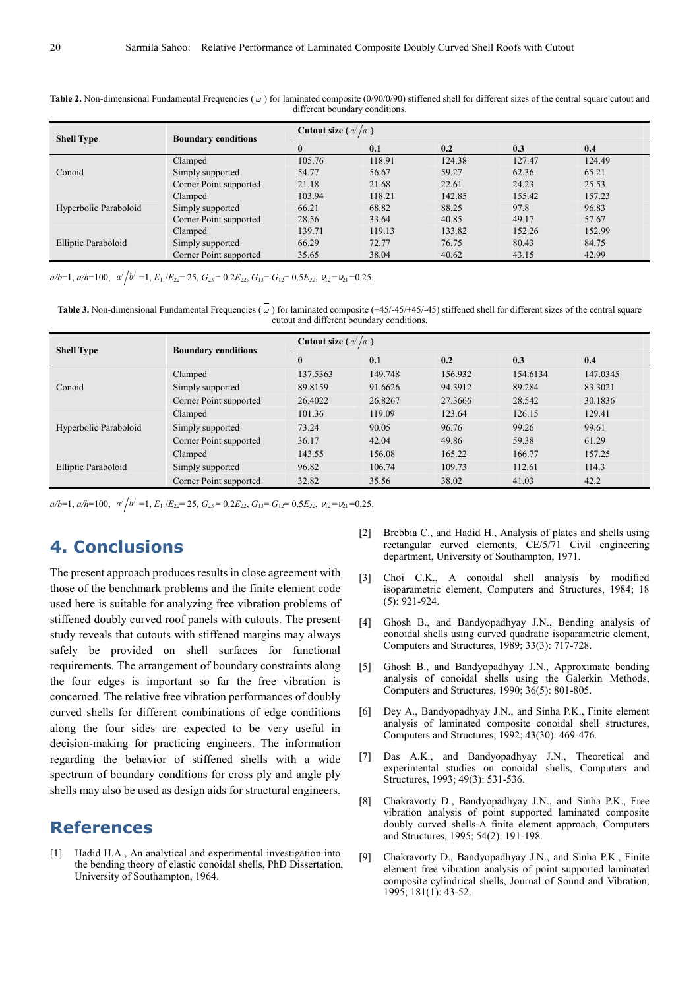| <b>Shell Type</b>     | <b>Boundary conditions</b> | Cutout size ( $a^2/a$ ) |        |        |        |        |  |
|-----------------------|----------------------------|-------------------------|--------|--------|--------|--------|--|
|                       |                            | $\mathbf{0}$            | 0.1    | 0.2    | 0.3    | 0.4    |  |
|                       | Clamped                    | 105.76                  | 118.91 | 124.38 | 127.47 | 124.49 |  |
| Conoid                | Simply supported           | 54.77                   | 56.67  | 59.27  | 62.36  | 65.21  |  |
|                       | Corner Point supported     | 21.18                   | 21.68  | 22.61  | 24.23  | 25.53  |  |
|                       | Clamped                    | 103.94                  | 118.21 | 142.85 | 155.42 | 157.23 |  |
| Hyperbolic Paraboloid | Simply supported           | 66.21                   | 68.82  | 88.25  | 97.8   | 96.83  |  |
|                       | Corner Point supported     | 28.56                   | 33.64  | 40.85  | 49.17  | 57.67  |  |
|                       | Clamped                    | 139.71                  | 119.13 | 133.82 | 152.26 | 152.99 |  |
| Elliptic Paraboloid   | Simply supported           | 66.29                   | 72.77  | 76.75  | 80.43  | 84.75  |  |
|                       | Corner Point supported     | 35.65                   | 38.04  | 40.62  | 43.15  | 42.99  |  |

**Table 2.** Non-dimensional Fundamental Frequencies ( $\omega$ ) for laminated composite (0/90/0/90) stiffened shell for different sizes of the central square cutout and different boundary conditions.

 $a/b=1$ ,  $a/h=100$ ,  $a'/b' =1$ ,  $E_{11}/E_{22}= 25$ ,  $G_{23}= 0.2E_{22}$ ,  $G_{13}= G_{12}= 0.5E_{22}$ ,  $v_{12}=v_{21}=0.25$ .

**Table 3.** Non-dimensional Fundamental Frequencies ( *ω* ) for laminated composite (+45/-45/+45/-45) stiffened shell for different sizes of the central square cutout and different boundary conditions.

| <b>Shell Type</b>     | <b>Boundary conditions</b> | Cutout size ( $a^2/a$ ) |         |         |          |          |  |
|-----------------------|----------------------------|-------------------------|---------|---------|----------|----------|--|
|                       |                            | $\bf{0}$                | 0.1     | 0.2     | 0.3      | 0.4      |  |
|                       | Clamped                    | 137.5363                | 149.748 | 156.932 | 154.6134 | 147.0345 |  |
| Conoid                | Simply supported           | 89.8159                 | 91.6626 | 94.3912 | 89.284   | 83.3021  |  |
|                       | Corner Point supported     | 26.4022                 | 26.8267 | 27.3666 | 28.542   | 30.1836  |  |
|                       | Clamped                    | 101.36                  | 119.09  | 123.64  | 126.15   | 129.41   |  |
| Hyperbolic Paraboloid | Simply supported           | 73.24                   | 90.05   | 96.76   | 99.26    | 99.61    |  |
|                       | Corner Point supported     | 36.17                   | 42.04   | 49.86   | 59.38    | 61.29    |  |
|                       | Clamped                    | 143.55                  | 156.08  | 165.22  | 166.77   | 157.25   |  |
| Elliptic Paraboloid   | Simply supported           | 96.82                   | 106.74  | 109.73  | 112.61   | 114.3    |  |
|                       | Corner Point supported     | 32.82                   | 35.56   | 38.02   | 41.03    | 42.2     |  |

 $a/b=1$ ,  $a/h=100$ ,  $a'/b' =1$ ,  $E_{11}/E_{22}= 25$ ,  $G_{23}= 0.2E_{22}$ ,  $G_{13}= G_{12}= 0.5E_{22}$ ,  $v_{12}=v_{21}=0.25$ .

### **4. Conclusions**

The present approach produces results in close agreement with those of the benchmark problems and the finite element code used here is suitable for analyzing free vibration problems of stiffened doubly curved roof panels with cutouts. The present study reveals that cutouts with stiffened margins may always safely be provided on shell surfaces for functional requirements. The arrangement of boundary constraints along the four edges is important so far the free vibration is concerned. The relative free vibration performances of doubly curved shells for different combinations of edge conditions along the four sides are expected to be very useful in decision-making for practicing engineers. The information regarding the behavior of stiffened shells with a wide spectrum of boundary conditions for cross ply and angle ply shells may also be used as design aids for structural engineers.

### **References**

[1] Hadid H.A., An analytical and experimental investigation into the bending theory of elastic conoidal shells, PhD Dissertation, University of Southampton, 1964.

- [2] Brebbia C., and Hadid H., Analysis of plates and shells using rectangular curved elements, CE/5/71 Civil engineering department, University of Southampton, 1971.
- [3] Choi C.K., A conoidal shell analysis by modified isoparametric element, Computers and Structures, 1984; 18 (5): 921-924.
- [4] Ghosh B., and Bandyopadhyay J.N., Bending analysis of conoidal shells using curved quadratic isoparametric element, Computers and Structures, 1989; 33(3): 717-728.
- [5] Ghosh B., and Bandyopadhyay J.N., Approximate bending analysis of conoidal shells using the Galerkin Methods, Computers and Structures, 1990; 36(5): 801-805.
- [6] Dey A., Bandyopadhyay J.N., and Sinha P.K., Finite element analysis of laminated composite conoidal shell structures, Computers and Structures, 1992; 43(30): 469-476.
- [7] Das A.K., and Bandyopadhyay J.N., Theoretical and experimental studies on conoidal shells, Computers and Structures, 1993; 49(3): 531-536.
- [8] Chakravorty D., Bandyopadhyay J.N., and Sinha P.K., Free vibration analysis of point supported laminated composite doubly curved shells-A finite element approach, Computers and Structures, 1995; 54(2): 191-198.
- [9] Chakravorty D., Bandyopadhyay J.N., and Sinha P.K., Finite element free vibration analysis of point supported laminated composite cylindrical shells, Journal of Sound and Vibration, 1995; 181(1): 43-52.